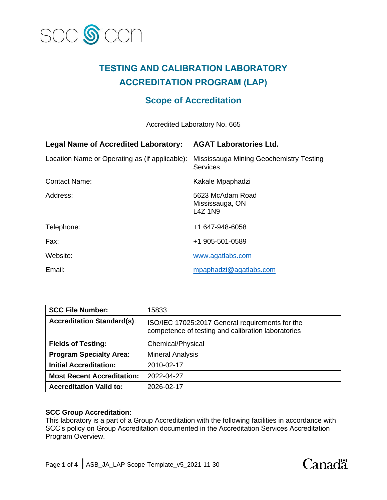

# **TESTING AND CALIBRATION LABORATORY ACCREDITATION PROGRAM (LAP)**

# **Scope of Accreditation**

Accredited Laboratory No. 665

| <b>Legal Name of Accredited Laboratory:</b>    | <b>AGAT Laboratories Ltd.</b>                              |
|------------------------------------------------|------------------------------------------------------------|
| Location Name or Operating as (if applicable): | Mississauga Mining Geochemistry Testing<br><b>Services</b> |
| <b>Contact Name:</b>                           | Kakale Mpaphadzi                                           |
| Address:                                       | 5623 McAdam Road<br>Mississauga, ON<br>L4Z 1N9             |
| Telephone:                                     | +1 647-948-6058                                            |
| Fax:                                           | +1 905-501-0589                                            |
| Website:                                       | www.agatlabs.com                                           |
| Email:                                         | mpaphadzi@agatlabs.com                                     |

| <b>SCC File Number:</b>           | 15833                                                                                                 |
|-----------------------------------|-------------------------------------------------------------------------------------------------------|
| <b>Accreditation Standard(s):</b> | ISO/IEC 17025:2017 General requirements for the<br>competence of testing and calibration laboratories |
| <b>Fields of Testing:</b>         | <b>Chemical/Physical</b>                                                                              |
| <b>Program Specialty Area:</b>    | <b>Mineral Analysis</b>                                                                               |
| <b>Initial Accreditation:</b>     | 2010-02-17                                                                                            |
| <b>Most Recent Accreditation:</b> | 2022-04-27                                                                                            |
| <b>Accreditation Valid to:</b>    | 2026-02-17                                                                                            |

## **SCC Group Accreditation:**

This laboratory is a part of a Group Accreditation with the following facilities in accordance with SCC's policy on Group Accreditation documented in the Accreditation Services Accreditation Program Overview.

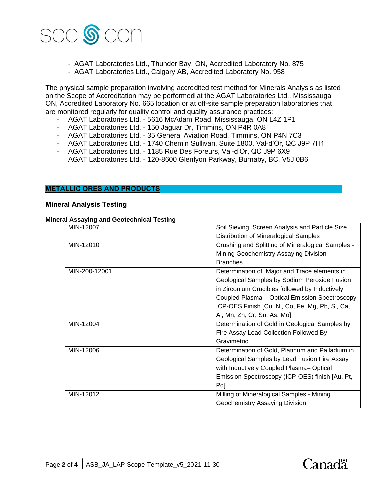

- AGAT Laboratories Ltd., Thunder Bay, ON, Accredited Laboratory No. 875
- AGAT Laboratories Ltd., Calgary AB, Accredited Laboratory No. 958

The physical sample preparation involving accredited test method for Minerals Analysis as listed on the Scope of Accreditation may be performed at the AGAT Laboratories Ltd., Mississauga ON, Accredited Laboratory No. 665 location or at off-site sample preparation laboratories that are monitored regularly for quality control and quality assurance practices:

- AGAT Laboratories Ltd. 5616 McAdam Road, Mississauga, ON L4Z 1P1
- AGAT Laboratories Ltd. 150 Jaguar Dr, Timmins, ON P4R 0A8
- AGAT Laboratories Ltd. 35 General Aviation Road, Timmins, ON P4N 7C3
- AGAT Laboratories Ltd. 1740 Chemin Sullivan, Suite 1800, Val-d'Or, QC J9P 7H1
- AGAT Laboratories Ltd. 1185 Rue Des Foreurs, Val-d'Or, QC J9P 6X9
- AGAT Laboratories Ltd. 120-8600 Glenlyon Parkway, Burnaby, BC, V5J 0B6

#### **METALLIC ORES AND PRODUCTS**

### **Mineral Analysis Testing**

#### **Mineral Assaying and Geotechnical Testing**

| MIN-12007     | Soil Sieving, Screen Analysis and Particle Size   |
|---------------|---------------------------------------------------|
|               | Distribution of Mineralogical Samples             |
| MIN-12010     | Crushing and Splitting of Mineralogical Samples - |
|               | Mining Geochemistry Assaying Division -           |
|               | <b>Branches</b>                                   |
| MIN-200-12001 | Determination of Major and Trace elements in      |
|               | Geological Samples by Sodium Peroxide Fusion      |
|               | in Zirconium Crucibles followed by Inductively    |
|               | Coupled Plasma - Optical Emission Spectroscopy    |
|               | ICP-OES Finish [Cu, Ni, Co, Fe, Mg, Pb, Si, Ca,   |
|               | Al, Mn, Zn, Cr, Sn, As, Mo]                       |
| MIN-12004     | Determination of Gold in Geological Samples by    |
|               | Fire Assay Lead Collection Followed By            |
|               | Gravimetric                                       |
| MIN-12006     | Determination of Gold, Platinum and Palladium in  |
|               | Geological Samples by Lead Fusion Fire Assay      |
|               | with Inductively Coupled Plasma-Optical           |
|               | Emission Spectroscopy (ICP-OES) finish [Au, Pt,   |
|               | Pd]                                               |
| MIN-12012     | Milling of Mineralogical Samples - Mining         |
|               | Geochemistry Assaying Division                    |

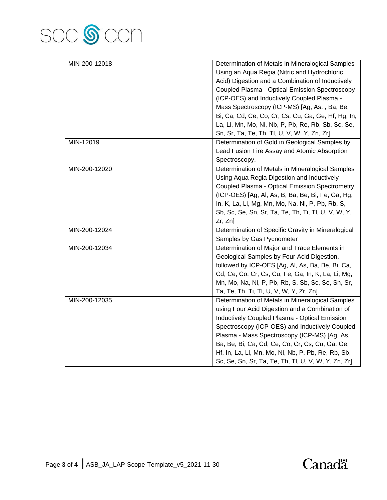

| MIN-200-12018 | Determination of Metals in Mineralogical Samples    |
|---------------|-----------------------------------------------------|
|               | Using an Aqua Regia (Nitric and Hydrochloric        |
|               | Acid) Digestion and a Combination of Inductively    |
|               | Coupled Plasma - Optical Emission Spectroscopy      |
|               | (ICP-OES) and Inductively Coupled Plasma -          |
|               | Mass Spectroscopy (ICP-MS) [Ag, As, , Ba, Be,       |
|               | Bi, Ca, Cd, Ce, Co, Cr, Cs, Cu, Ga, Ge, Hf, Hg, In, |
|               | La, Li, Mn, Mo, Ni, Nb, P, Pb, Re, Rb, Sb, Sc, Se,  |
|               | Sn, Sr, Ta, Te, Th, Tl, U, V, W, Y, Zn, Zr]         |
| MIN-12019     | Determination of Gold in Geological Samples by      |
|               | Lead Fusion Fire Assay and Atomic Absorption        |
|               | Spectroscopy.                                       |
| MIN-200-12020 | Determination of Metals in Mineralogical Samples    |
|               | Using Aqua Regia Digestion and Inductively          |
|               | Coupled Plasma - Optical Emission Spectrometry      |
|               | (ICP-OES) [Ag, Al, As, B, Ba, Be, Bi, Fe, Ga, Hg,   |
|               | In, K, La, Li, Mg, Mn, Mo, Na, Ni, P, Pb, Rb, S,    |
|               | Sb, Sc, Se, Sn, Sr, Ta, Te, Th, Ti, Tl, U, V, W, Y, |
|               | Zr, Zn]                                             |
| MIN-200-12024 | Determination of Specific Gravity in Mineralogical  |
|               | Samples by Gas Pycnometer                           |
| MIN-200-12034 | Determination of Major and Trace Elements in        |
|               | Geological Samples by Four Acid Digestion,          |
|               | followed by ICP-OES [Ag, Al, As, Ba, Be, Bi, Ca,    |
|               | Cd, Ce, Co, Cr, Cs, Cu, Fe, Ga, In, K, La, Li, Mg,  |
|               | Mn, Mo, Na, Ni, P, Pb, Rb, S, Sb, Sc, Se, Sn, Sr,   |
|               | Ta, Te, Th, Ti, Tl, U, V, W, Y, Zr, Zn].            |
| MIN-200-12035 | Determination of Metals in Mineralogical Samples    |
|               | using Four Acid Digestion and a Combination of      |
|               | Inductively Coupled Plasma - Optical Emission       |
|               | Spectroscopy (ICP-OES) and Inductively Coupled      |
|               | Plasma - Mass Spectroscopy (ICP-MS) [Ag, As,        |
|               | Ba, Be, Bi, Ca, Cd, Ce, Co, Cr, Cs, Cu, Ga, Ge,     |
|               | Hf, In, La, Li, Mn, Mo, Ni, Nb, P, Pb, Re, Rb, Sb,  |
|               | Sc, Se, Sn, Sr, Ta, Te, Th, Tl, U, V, W, Y, Zn, Zr] |